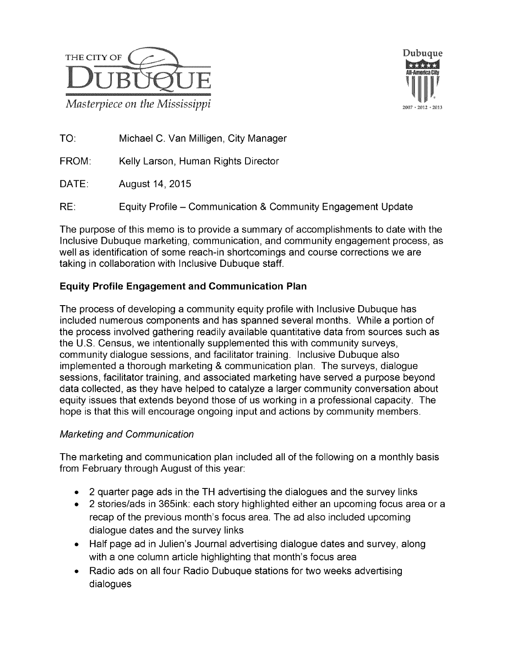



TO: Michael C. Van Milligen, City Manager

FROM: Kelly Larson, Human Rights Director

DATE: August 14, 2015

RE: Equity Profile – Communication & Community Engagement Update

The purpose of this memo is to provide a summary of accomplishments to date with the Inclusive Dubuque marketing, communication, and community engagement process, as well as identification of some reach-in shortcomings and course corrections we are taking in collaboration with Inclusive Dubuque staff.

## **Equity Profile Engagement and Communication Plan**

The process of developing a community equity profile with Inclusive Dubuque has included numerous components and has spanned several months. While a portion of the process involved gathering readily available quantitative data from sources such as the U.S. Census, we intentionally supplemented this with community surveys, community dialogue sessions, andfacilitator training. Inclusive Dubuque also implemented a thorough marketing & communication plan. The surveys, dialogue sessions, facilitator training, and associated marketing have served a purpose beyond data collected, as they have helped to catalyze a larger community conversation about equity issues that extends beyond those of us working in a professional capacity. The hope is that this will encourage ongoing input and actions by community members.

## Marketing and Communication

The marketing and communication plan included all of the following on a monthly basis from February through August of this year:

- 2 quarter page ads in the TH advertising the dialogues and the survey links
- 2 stories/ads in 365ink: each story highlighted either an upcoming focus area or a recap of the previous month's focus area. The ad also included upcoming dialogue dates and the survey links
- Half page ad in Julien's Journal advertising dialogue dates and survey, along with a one column article highlighting that month's focus area
- Radio ads on all four Radio Dubuque stations for two weeks advertising dialogues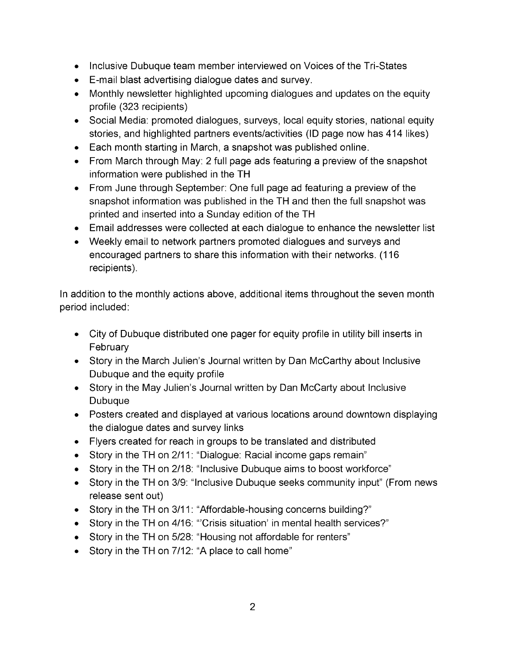- Inclusive Dubuque team member interviewed on Voices of the Tri-States
- E-mail blast advertising dialogue dates and survey.
- Monthly newsletter highlighted upcoming dialogues and updates on the equity profile (323 recipients)
- Social Media: promoted dialogues, surveys, local equity stories, national equity stories, and highlighted partners events/activities (ID page now has 414 likes)
- $\bullet$  Each month starting in March, a snapshot was published online.
- From March through May: 2 full page ads featuring a preview of the snapshot information were published in the TH
- From June through September: One full page ad featuring a preview of the snapshot information was published in the TH and then the full snapshot was printed and inserted into a Sunday edition of the TH
- Email addresses were collected at each dialogue to enhance the newsletter list
- Weekly email to network partners promoted dialogues and surveys and encouraged partners to share this information with their networks. (116 recipients).

In addition to the monthly actions above, additional items throughout the seven month period included:

- City of Dubuque distributed one pager for equity profile in utility bill inserts in **February**
- Story in the March Julien's Journal written by Dan McCarthy about Inclusive Dubuque and the equity profile
- Story in the May Julien's Journal written by Dan McCarty about Inclusive Dubuque
- Posters created and displayed at various locations around downtown displaying the dialogue dates and survey links
- $\bullet$  Flyers created for reach in groups to be translated and distributed
- Story in the TH on 2/11: "Dialogue: Racial income gaps remain"
- Story in the TH on 2/18: "Inclusive Dubuque aims to boost workforce"
- Story in the TH on 3/9: "Inclusive Dubuque seeks community input" (From news release sent out)
- Story in the TH on 3/11: "Affordable-housing concerns building?"
- Story in the TH on 4/16: "Crisis situation' in mental health services?"
- Story in the TH on 5/28: "Housing not affordable for renters"<br>• Story in the TH on 7/12: "A place to call home"
-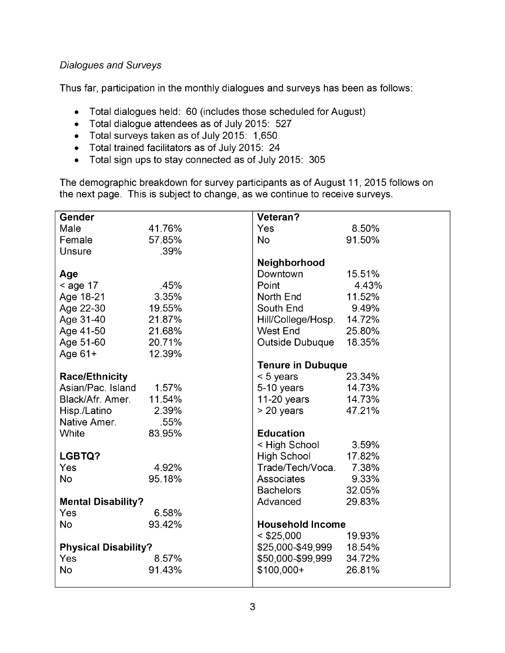### Dialogues and Surveys

Thus far, participation in the monthly dialogues and surveys has been as follows:

- Total dialogues held: 60 (includes those scheduled for August)  $\bullet$
- Total dialogue attendees as of July 2015: 527
- Total surveys taken as of July 2015: 1,650
- $\bullet$  Total trained facilitators as of July 2015: 24
- Total sign ups to stay connected as of July 2015: 305

The demographic breakdown for survey participants as of August 11, 2015 follows on the next page. This is subject to change, as we continue to receive surveys.

| <b>Gender</b>               |        | Veteran?                  |        |
|-----------------------------|--------|---------------------------|--------|
| Male                        | 41.76% | Yes                       | 8.50%  |
| Female                      | 57.85% | <b>No</b>                 | 91.50% |
| Unsure                      | .39%   |                           |        |
|                             |        | Neighborhood              |        |
| Age                         |        | Downtown                  | 15.51% |
| $<$ age 17                  | .45%   | Point                     | 4.43%  |
| Age 18-21                   | 3.35%  | North End                 | 11.52% |
| Age 22-30                   | 19.55% | South End                 | 9.49%  |
| Age 31-40                   | 21.87% | Hill/College/Hosp. 14.72% |        |
| Age 41-50                   | 21.68% | <b>West End</b>           | 25.80% |
| Age 51-60                   | 20.71% | Outside Dubuque 18.35%    |        |
| Age 61+                     | 12.39% |                           |        |
|                             |        | <b>Tenure in Dubuque</b>  |        |
| <b>Race/Ethnicity</b>       |        | $< 5$ years               | 23.34% |
| Asian/Pac. Island           | 1.57%  | 5-10 years                | 14.73% |
| Black/Afr. Amer.            | 11.54% | $11-20$ years             | 14.73% |
| Hisp./Latino                | 2.39%  | $> 20$ years              | 47.21% |
| Native Amer.                | .55%   |                           |        |
| White                       | 83.95% | <b>Education</b>          |        |
|                             |        | < High School             | 3.59%  |
| LGBTQ?                      |        | High School               | 17.82% |
| Yes                         | 4.92%  | Trade/Tech/Voca.          | 7.38%  |
| <b>No</b>                   | 95.18% | Associates                | 9.33%  |
|                             |        | <b>Bachelors</b>          | 32.05% |
| <b>Mental Disability?</b>   |        | Advanced                  | 29.83% |
| Yes                         | 6.58%  |                           |        |
| <b>No</b>                   | 93.42% | <b>Household Income</b>   |        |
|                             |        | $<$ \$25,000              | 19.93% |
| <b>Physical Disability?</b> |        | \$25,000-\$49,999 18.54%  |        |
| Yes                         | 8.57%  | \$50,000-\$99,999         | 34.72% |
| <b>No</b>                   | 91.43% | \$100,000+                | 26.81% |
|                             |        |                           |        |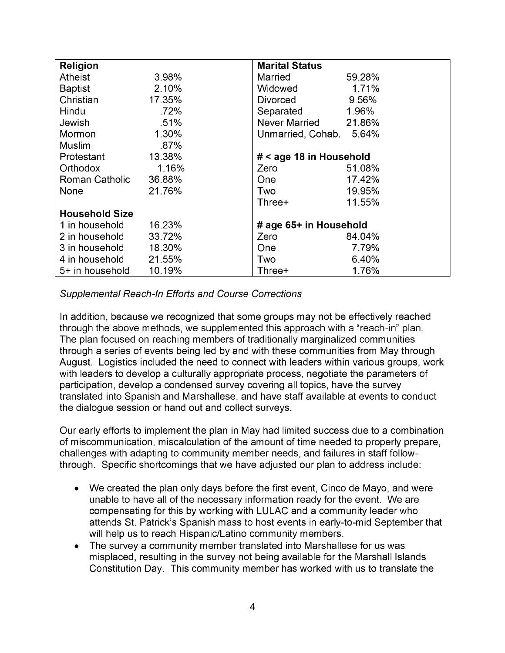| Religion              |         | <b>Marital Status</b>   |        |
|-----------------------|---------|-------------------------|--------|
| <b>Atheist</b>        | 3.98%   | Married                 | 59.28% |
| <b>Baptist</b>        | 2.10%   | Widowed                 | 1.71%  |
| Christian             | 17.35%  | Divorced                | 9.56%  |
| Hindu                 | .72%    | Separated               | 1.96%  |
| <b>Jewish</b>         | .51%    | Never Married 21.86%    |        |
| Mormon                | 1.30%   | Unmarried, Cohab. 5.64% |        |
| Muslim                | $.87\%$ |                         |        |
| Protestant            | 13.38%  | # < age 18 in Household |        |
| Orthodox              | 1.16%   | Zero                    | 51.08% |
| Roman Catholic        | 36.88%  | <b>One</b>              | 17.42% |
| <b>None</b>           | 21.76%  | Two                     | 19.95% |
|                       |         | Three+                  | 11.55% |
| <b>Household Size</b> |         |                         |        |
| 1 in household        | 16.23%  | # age 65+ in Household  |        |
| 2 in household        | 33.72%  | Zero                    | 84.04% |
| 3 in household        | 18.30%  | <b>One</b>              | 7.79%  |
| 4 in household        | 21.55%  | Two                     | 6.40%  |
| 5+ in household       | 10.19%  | Three+                  | 1.76%  |

#### Supplemental Reach-In Efforts and Course Corrections

In addition, because we recognized that some groups may not be effectively reached through the above methods, we supplemented this approach with a "reach-in" plan. The plan focused on reaching members of traditionally marginalized communities through a series of events being led by and with these communities from May through August. Logistics included the need to connect with leaders within various groups, work with leaders to develop a culturally appropriate process, negotiate the parameters of participation, develop a condensed survey covering all topics, have the survey translated into Spanish and Marshallese, and have staff available at events to conduct the dialogue session or hand out and collect surveys.

Our early efforts to implement the plan in May had limited success due to a combination of miscommunication, miscalculation of the amount of time needed to properly prepare, challenges with adapting to community member needs, and failures in staff followthrough. Specific shortcomings that we have adjusted our plan to address include:

- We created the plan only days before the first event, Cinco de Mayo, and were unable to have all of the necessary information ready for the event. We are compensating for this by working with LULAC and a community leader who attends St. Patrick's Spanish mass to host events in early-to-mid September that will help us to reach Hispanic/Latino community members.
- The survey a community member translated into Marshallese for us was misplaced, resulting in the survey not being available for the Marshall Islands Constitution Day. This community member has worked with us to translate the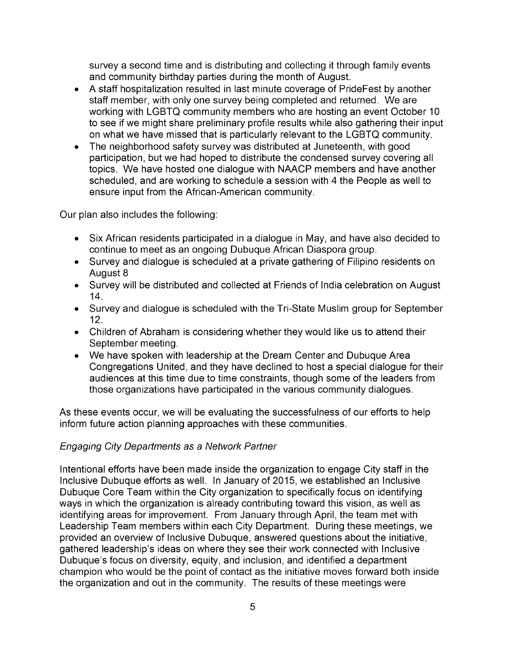survey a second time and is distributing and collecting it through family events and community birthday parties during the month of August.

- A staff hospitalization resulted in last minute coverage of PrideFest by another staff member, with only one survey being completed and returned. We are working with LGBTQ community members who are hosting an event October 10 to see if we might share preliminary profile results while also gathering their input on what we have missed that is particularly relevant to the LGBTQ community.
- The neighborhood safety survey was distributed at Juneteenth, with good participation, but we had hoped to distribute the condensed survey covering all topics. We have hosted one dialogue with NAACP members and have another scheduled, and are working to schedule a session with 4 the People as well to ensure input from the African-American community.

Our plan also includes the following:

- Six African residents participated in a dialogue in May, and have also decided to continue to meet as an ongoing Dubuque African Diaspora group.
- Survey and dialogue is scheduled at a private gathering of Filipino residents on August 8
- Survey will be distributed and collected at Friends of India celebration on August 14.
- Survey and dialogue is scheduled with the Tri-State Muslim group for September 12.
- $\bullet$  Children of Abraham is considering whether they would like us to attend their September meeting.
- We have spoken with leadership at the Dream Center and Dubuque Area Congregations United, and they have declined to host a special dialogue for their audiences at this time due to time constraints, though some of the leaders from those organizations have participated in the various community dialogues.

As these events occur, we will be evaluating the successfulness of our efforts to help inform future action planning approaches with these communities.

# Engaging City Departments as a Network Partner

Intentional efforts have been made inside the organization to engage City staff in the Inclusive Dubuque efforts as well. In January of 2015, we established an Inclusive Dubuque Core Team within the City organization to specifically focus on identifying ways in which the organization is already contributing toward this vision, as well as identifying areas for improvement. From January through April, the team met with Leadership Team members within each City Department. During these meetings, we provided an overview of Inclusive Dubuque, answered questions about the initiative, gathered leadership's ideas on where they see their work connected with Inclusive Dubuque's focus on diversity, equity, and inclusion, and identified a department champion who would be the point of contact as the initiative moves forward both inside the organization and out in the community. The results of these meetings were